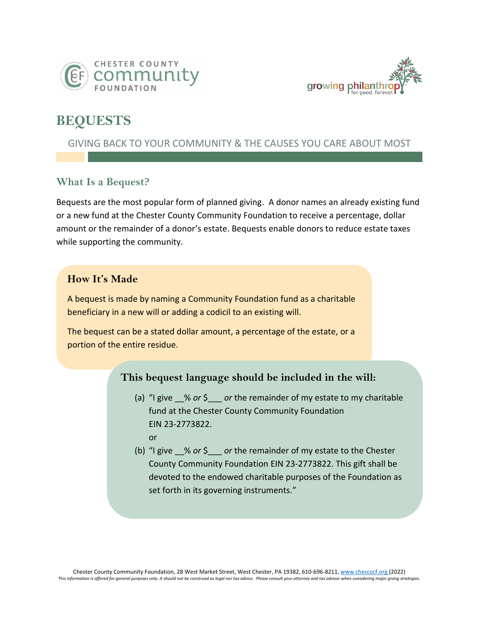



# **BEQUESTS**

# GIVING BACK TO YOUR COMMUNITY & THE CAUSES YOU CARE ABOUT MOST

# **What Is a Bequest?**

Bequests are the most popular form of planned giving. A donor names an already existing fund or a new fund at the Chester County Community Foundation to receive a percentage, dollar amount or the remainder of a donor's estate. Bequests enable donors to reduce estate taxes while supporting the community.

## **How It's Made**

A bequest is made by naming a Community Foundation fund as a charitable beneficiary in a new will or adding a codicil to an existing will.

The bequest can be a stated dollar amount, a percentage of the estate, or a portion of the entire residue.

## **This bequest language should be included in the will:**

- (a) "I give % or \$ or the remainder of my estate to my charitable fund at the Chester County Community Foundation EIN 23-2773822. or
- (b) "I give \_\_% *or* \$\_\_\_ *or* the remainder of my estate to the Chester County Community Foundation EIN 23-2773822. This gift shall be devoted to the endowed charitable purposes of the Foundation as set forth in its governing instruments."